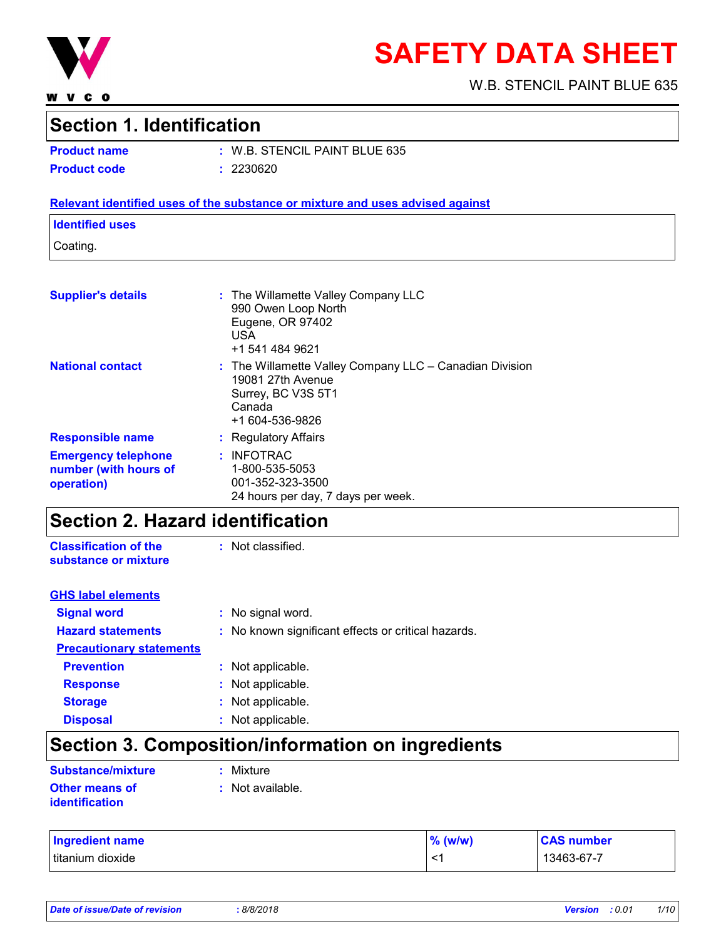

**WVCO** 

# **SAFETY DATA SHEET**

W.B. STENCIL PAINT BLUE 635

### **Section 1. Identification**

**Product name :** W.B. STENCIL PAINT BLUE 635 **Product code :** 2230620

#### **Relevant identified uses of the substance or mixture and uses advised against**

#### **Identified uses**

Coating.

| <b>Supplier's details</b>                                         | : The Willamette Valley Company LLC<br>990 Owen Loop North<br>Eugene, OR 97402<br><b>USA</b><br>+1 541 484 9621                     |
|-------------------------------------------------------------------|-------------------------------------------------------------------------------------------------------------------------------------|
| <b>National contact</b>                                           | $:$ The Willamette Valley Company LLC $-$ Canadian Division<br>19081 27th Avenue<br>Surrey, BC V3S 5T1<br>Canada<br>+1 604-536-9826 |
| <b>Responsible name</b>                                           | : Regulatory Affairs                                                                                                                |
| <b>Emergency telephone</b><br>number (with hours of<br>operation) | : INFOTRAC<br>1-800-535-5053<br>001-352-323-3500<br>24 hours per day, 7 days per week.                                              |

### **Section 2. Hazard identification**

**Classification of the substance or mixture** : Not classified.

| <b>GHS label elements</b>       |                                                     |
|---------------------------------|-----------------------------------------------------|
| <b>Signal word</b>              | : No signal word.                                   |
| <b>Hazard statements</b>        | : No known significant effects or critical hazards. |
| <b>Precautionary statements</b> |                                                     |
| <b>Prevention</b>               | : Not applicable.                                   |
| <b>Response</b>                 | : Not applicable.                                   |
| <b>Storage</b>                  | : Not applicable.                                   |
| <b>Disposal</b>                 | : Not applicable.                                   |

## **Section 3. Composition/information on ingredients**

| Substance/mixture                | : Mixture        |
|----------------------------------|------------------|
| Other means of<br>identification | : Not available. |

| <b>Ingredient name</b> | $%$ (w/w)    | <b>CAS number</b> |
|------------------------|--------------|-------------------|
| Ititanium dioxide      | $\mathbf{<}$ | 13463-67-7        |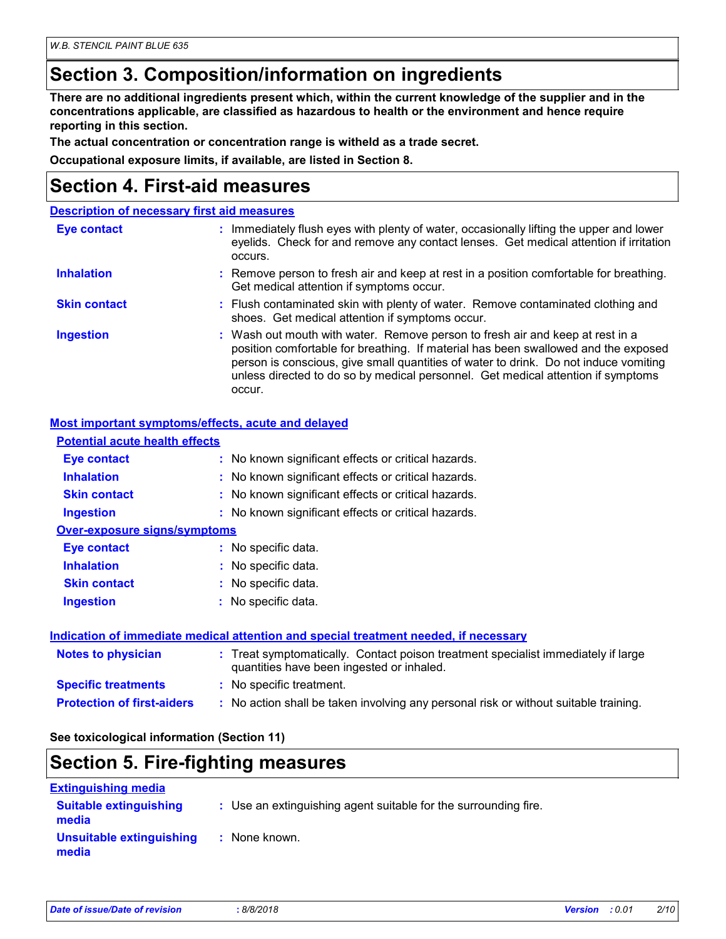### **Section 3. Composition/information on ingredients**

**There are no additional ingredients present which, within the current knowledge of the supplier and in the concentrations applicable, are classified as hazardous to health or the environment and hence require reporting in this section.**

**The actual concentration or concentration range is witheld as a trade secret.**

**Occupational exposure limits, if available, are listed in Section 8.**

### **Section 4. First-aid measures**

|                     | <b>Description of necessary first aid measures</b>                                                                                                                                                                                                                                                                                                        |
|---------------------|-----------------------------------------------------------------------------------------------------------------------------------------------------------------------------------------------------------------------------------------------------------------------------------------------------------------------------------------------------------|
| <b>Eye contact</b>  | : Immediately flush eyes with plenty of water, occasionally lifting the upper and lower<br>eyelids. Check for and remove any contact lenses. Get medical attention if irritation<br>occurs.                                                                                                                                                               |
| <b>Inhalation</b>   | : Remove person to fresh air and keep at rest in a position comfortable for breathing.<br>Get medical attention if symptoms occur.                                                                                                                                                                                                                        |
| <b>Skin contact</b> | : Flush contaminated skin with plenty of water. Remove contaminated clothing and<br>shoes. Get medical attention if symptoms occur.                                                                                                                                                                                                                       |
| <b>Ingestion</b>    | : Wash out mouth with water. Remove person to fresh air and keep at rest in a<br>position comfortable for breathing. If material has been swallowed and the exposed<br>person is conscious, give small quantities of water to drink. Do not induce vomiting<br>unless directed to do so by medical personnel. Get medical attention if symptoms<br>occur. |

#### **Most important symptoms/effects, acute and delayed**

| <b>Potential acute health effects</b> |                                                                                                                                |
|---------------------------------------|--------------------------------------------------------------------------------------------------------------------------------|
| Eye contact                           | : No known significant effects or critical hazards.                                                                            |
| <b>Inhalation</b>                     | : No known significant effects or critical hazards.                                                                            |
| <b>Skin contact</b>                   | : No known significant effects or critical hazards.                                                                            |
| <b>Ingestion</b>                      | : No known significant effects or critical hazards.                                                                            |
| <b>Over-exposure signs/symptoms</b>   |                                                                                                                                |
| Eye contact                           | : No specific data.                                                                                                            |
| <b>Inhalation</b>                     | : No specific data.                                                                                                            |
| <b>Skin contact</b>                   | : No specific data.                                                                                                            |
| <b>Ingestion</b>                      | $:$ No specific data.                                                                                                          |
|                                       | <b>Indication of immediate medical attention and special treatment needed, if necessary</b>                                    |
| <b>Notes to physician</b>             | : Treat symptomatically. Contact poison treatment specialist immediately if large<br>quantities have been ingested or inhaled. |
| <b>Specific treatments</b>            | : No specific treatment.                                                                                                       |
| <b>Protection of first-aiders</b>     | : No action shall be taken involving any personal risk or without suitable training.                                           |

#### **See toxicological information (Section 11)**

### **Section 5. Fire-fighting measures**

| <b>Extinguishing media</b>             |                                                                 |
|----------------------------------------|-----------------------------------------------------------------|
| <b>Suitable extinguishing</b><br>media | : Use an extinguishing agent suitable for the surrounding fire. |
| Unsuitable extinguishing<br>media      | : None known.                                                   |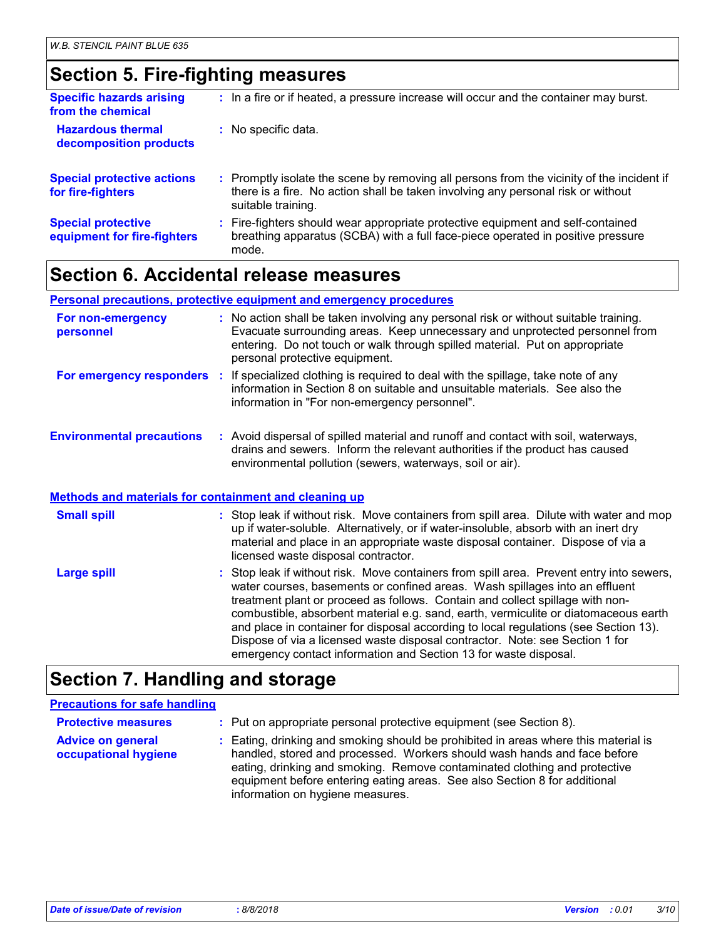### **Section 5. Fire-fighting measures**

| <b>Specific hazards arising</b><br>from the chemical     | : In a fire or if heated, a pressure increase will occur and the container may burst.                                                                                                               |
|----------------------------------------------------------|-----------------------------------------------------------------------------------------------------------------------------------------------------------------------------------------------------|
| <b>Hazardous thermal</b><br>decomposition products       | : No specific data.                                                                                                                                                                                 |
| <b>Special protective actions</b><br>for fire-fighters   | : Promptly isolate the scene by removing all persons from the vicinity of the incident if<br>there is a fire. No action shall be taken involving any personal risk or without<br>suitable training. |
| <b>Special protective</b><br>equipment for fire-fighters | : Fire-fighters should wear appropriate protective equipment and self-contained<br>breathing apparatus (SCBA) with a full face-piece operated in positive pressure<br>mode.                         |

### **Section 6. Accidental release measures**

#### **Personal precautions, protective equipment and emergency procedures**

| For non-emergency<br>personnel                               | : No action shall be taken involving any personal risk or without suitable training.<br>Evacuate surrounding areas. Keep unnecessary and unprotected personnel from<br>entering. Do not touch or walk through spilled material. Put on appropriate<br>personal protective equipment.                                                                                                                                                    |
|--------------------------------------------------------------|-----------------------------------------------------------------------------------------------------------------------------------------------------------------------------------------------------------------------------------------------------------------------------------------------------------------------------------------------------------------------------------------------------------------------------------------|
|                                                              | <b>For emergency responders</b> : If specialized clothing is required to deal with the spillage, take note of any<br>information in Section 8 on suitable and unsuitable materials. See also the<br>information in "For non-emergency personnel".                                                                                                                                                                                       |
| <b>Environmental precautions</b>                             | : Avoid dispersal of spilled material and runoff and contact with soil, waterways,<br>drains and sewers. Inform the relevant authorities if the product has caused<br>environmental pollution (sewers, waterways, soil or air).                                                                                                                                                                                                         |
| <b>Methods and materials for containment and cleaning up</b> |                                                                                                                                                                                                                                                                                                                                                                                                                                         |
| <b>Small spill</b>                                           | : Stop leak if without risk. Move containers from spill area. Dilute with water and mop<br>up if water-soluble. Alternatively, or if water-insoluble, absorb with an inert dry<br>material and place in an appropriate waste disposal container. Dispose of via a<br>licensed waste disposal contractor.                                                                                                                                |
| <b>Large spill</b>                                           | : Stop leak if without risk. Move containers from spill area. Prevent entry into sewers,<br>water courses, basements or confined areas. Wash spillages into an effluent<br>treatment plant or proceed as follows. Contain and collect spillage with non-<br>combustible, absorbent material e.g. sand, earth, vermiculite or diatomaceous earth<br>and place in container for disposal according to local regulations (see Section 13). |

Dispose of via a licensed waste disposal contractor. Note: see Section 1 for

emergency contact information and Section 13 for waste disposal.

### **Section 7. Handling and storage**

#### **Advice on general occupational hygiene** Eating, drinking and smoking should be prohibited in areas where this material is **:** handled, stored and processed. Workers should wash hands and face before eating, drinking and smoking. Remove contaminated clothing and protective equipment before entering eating areas. See also Section 8 for additional information on hygiene measures. **Protective measures : Put on appropriate personal protective equipment (see Section 8). Precautions for safe handling**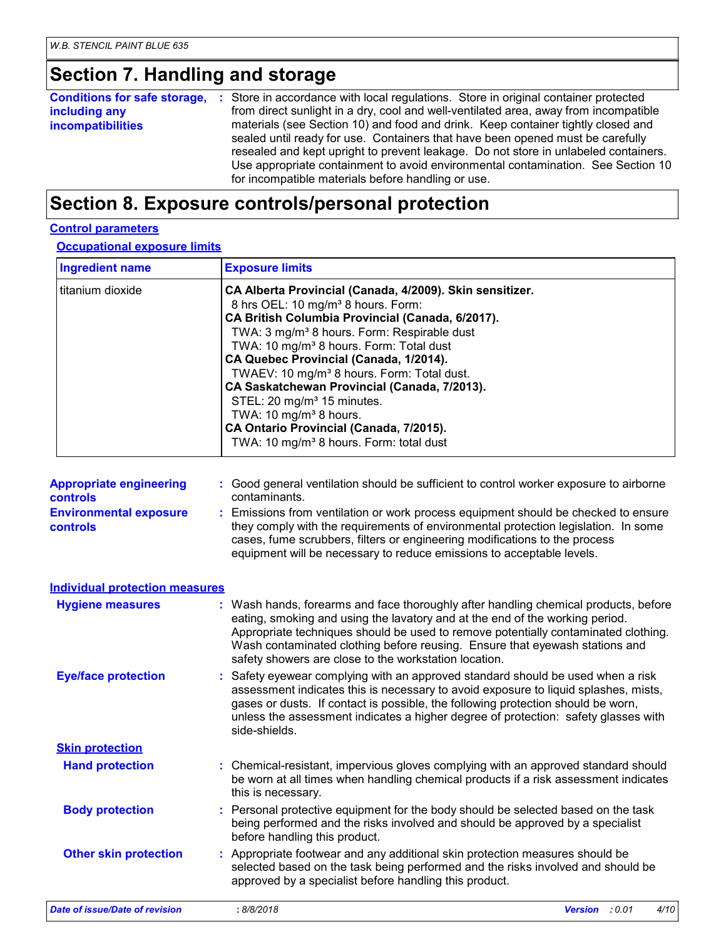### **Section 7. Handling and storage**

| <b>Conditions for safe storage, :</b> Store in accordance with local regulations. Store in original container protected<br>including any<br><b>incompatibilities</b> |
|----------------------------------------------------------------------------------------------------------------------------------------------------------------------|
|----------------------------------------------------------------------------------------------------------------------------------------------------------------------|

### **Section 8. Exposure controls/personal protection**

#### **Control parameters**

**Occupational exposure limits**

| <b>Ingredient name</b>                           | <b>Exposure limits</b>                                                                                                                                                                                                                                                                                                                                                                                                                                                                                                                                                                                                 |
|--------------------------------------------------|------------------------------------------------------------------------------------------------------------------------------------------------------------------------------------------------------------------------------------------------------------------------------------------------------------------------------------------------------------------------------------------------------------------------------------------------------------------------------------------------------------------------------------------------------------------------------------------------------------------------|
| titanium dioxide                                 | CA Alberta Provincial (Canada, 4/2009). Skin sensitizer.<br>8 hrs OEL: 10 mg/m <sup>3</sup> 8 hours. Form:<br>CA British Columbia Provincial (Canada, 6/2017).<br>TWA: 3 mg/m <sup>3</sup> 8 hours. Form: Respirable dust<br>TWA: 10 mg/m <sup>3</sup> 8 hours. Form: Total dust<br>CA Quebec Provincial (Canada, 1/2014).<br>TWAEV: 10 mg/m <sup>3</sup> 8 hours. Form: Total dust.<br>CA Saskatchewan Provincial (Canada, 7/2013).<br>STEL: 20 mg/m <sup>3</sup> 15 minutes.<br>TWA: 10 mg/m <sup>3</sup> 8 hours.<br>CA Ontario Provincial (Canada, 7/2015).<br>TWA: 10 mg/m <sup>3</sup> 8 hours. Form: total dust |
| <b>Appropriate engineering</b><br>controls       | : Good general ventilation should be sufficient to control worker exposure to airborne<br>contaminants.                                                                                                                                                                                                                                                                                                                                                                                                                                                                                                                |
| <b>Environmental exposure</b><br><b>controls</b> | Emissions from ventilation or work process equipment should be checked to ensure<br>they comply with the requirements of environmental protection legislation. In some<br>cases, fume scrubbers, filters or engineering modifications to the process<br>equipment will be necessary to reduce emissions to acceptable levels.                                                                                                                                                                                                                                                                                          |
| <b>Individual protection measures</b>            |                                                                                                                                                                                                                                                                                                                                                                                                                                                                                                                                                                                                                        |
| <b>Hygiene measures</b>                          | : Wash hands, forearms and face thoroughly after handling chemical products, before<br>eating, smoking and using the lavatory and at the end of the working period.<br>Appropriate techniques should be used to remove potentially contaminated clothing.<br>Wash contaminated clothing before reusing. Ensure that eyewash stations and<br>safety showers are close to the workstation location.                                                                                                                                                                                                                      |
| <b>Eye/face protection</b>                       | : Safety eyewear complying with an approved standard should be used when a risk<br>assessment indicates this is necessary to avoid exposure to liquid splashes, mists,<br>gases or dusts. If contact is possible, the following protection should be worn,<br>unless the assessment indicates a higher degree of protection: safety glasses with<br>side-shields.                                                                                                                                                                                                                                                      |
| <b>Skin protection</b>                           |                                                                                                                                                                                                                                                                                                                                                                                                                                                                                                                                                                                                                        |
| <b>Hand protection</b>                           | : Chemical-resistant, impervious gloves complying with an approved standard should<br>be worn at all times when handling chemical products if a risk assessment indicates<br>this is necessary.                                                                                                                                                                                                                                                                                                                                                                                                                        |
| <b>Body protection</b>                           | : Personal protective equipment for the body should be selected based on the task<br>being performed and the risks involved and should be approved by a specialist<br>before handling this product.                                                                                                                                                                                                                                                                                                                                                                                                                    |
| <b>Other skin protection</b>                     | : Appropriate footwear and any additional skin protection measures should be<br>selected based on the task being performed and the risks involved and should be<br>approved by a specialist before handling this product.                                                                                                                                                                                                                                                                                                                                                                                              |
| <b>Date of issue/Date of revision</b>            | : 8/8/2018<br><b>Version</b><br>: 0.01<br>4/10                                                                                                                                                                                                                                                                                                                                                                                                                                                                                                                                                                         |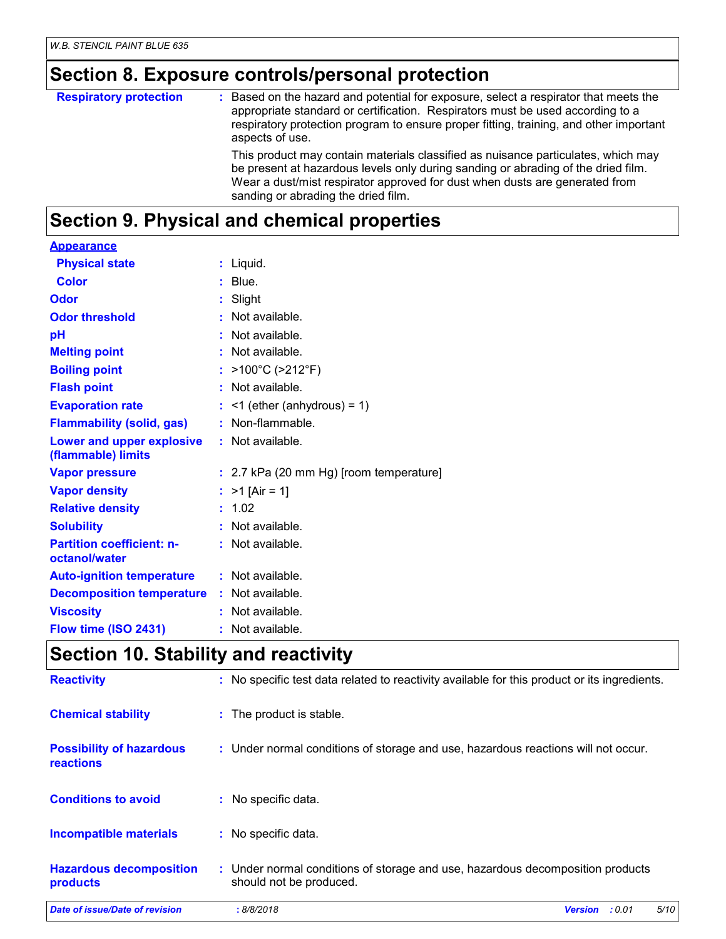# **Section 8. Exposure controls/personal protection**

| <b>Respiratory protection</b> | : Based on the hazard and potential for exposure, select a respirator that meets the<br>appropriate standard or certification. Respirators must be used according to a<br>respiratory protection program to ensure proper fitting, training, and other important<br>aspects of use.          |
|-------------------------------|----------------------------------------------------------------------------------------------------------------------------------------------------------------------------------------------------------------------------------------------------------------------------------------------|
|                               | This product may contain materials classified as nuisance particulates, which may<br>be present at hazardous levels only during sanding or abrading of the dried film.<br>Wear a dust/mist respirator approved for dust when dusts are generated from<br>sanding or abrading the dried film. |

# **Section 9. Physical and chemical properties**

| <b>Appearance</b>                                      |                                           |
|--------------------------------------------------------|-------------------------------------------|
| <b>Physical state</b>                                  | $:$ Liquid.                               |
| <b>Color</b>                                           | $:$ Blue.                                 |
| Odor                                                   | Slight                                    |
| <b>Odor threshold</b>                                  | Not available.                            |
| рH                                                     | Not available.                            |
| <b>Melting point</b>                                   | Not available.                            |
| <b>Boiling point</b>                                   | $>100^{\circ}$ C ( $>212^{\circ}$ F)      |
| <b>Flash point</b>                                     | : Not available.                          |
| <b>Evaporation rate</b>                                | $\leq$ 1 (ether (anhydrous) = 1)          |
| <b>Flammability (solid, gas)</b>                       | Non-flammable.                            |
| <b>Lower and upper explosive</b><br>(flammable) limits | $:$ Not available.                        |
| <b>Vapor pressure</b>                                  | $: 2.7$ kPa (20 mm Hg) [room temperature] |
| <b>Vapor density</b>                                   | : $>1$ [Air = 1]                          |
| <b>Relative density</b>                                | 1.02                                      |
| <b>Solubility</b>                                      | Not available.                            |
| <b>Partition coefficient: n-</b><br>octanol/water      | $:$ Not available.                        |
| <b>Auto-ignition temperature</b>                       | : Not available.                          |
| <b>Decomposition temperature</b>                       | $:$ Not available.                        |
| <b>Viscosity</b>                                       | Not available.                            |
| Flow time (ISO 2431)                                   | : Not available.                          |

### **Section 10. Stability and reactivity**

| <b>Reactivity</b>                                   | : No specific test data related to reactivity available for this product or its ingredients.              |                |        |      |
|-----------------------------------------------------|-----------------------------------------------------------------------------------------------------------|----------------|--------|------|
| <b>Chemical stability</b>                           | : The product is stable.                                                                                  |                |        |      |
| <b>Possibility of hazardous</b><br><b>reactions</b> | : Under normal conditions of storage and use, hazardous reactions will not occur.                         |                |        |      |
| <b>Conditions to avoid</b>                          | : No specific data.                                                                                       |                |        |      |
| <b>Incompatible materials</b>                       | : No specific data.                                                                                       |                |        |      |
| <b>Hazardous decomposition</b><br>products          | : Under normal conditions of storage and use, hazardous decomposition products<br>should not be produced. |                |        |      |
| Date of issue/Date of revision                      | :8/8/2018                                                                                                 | <b>Version</b> | : 0.01 | 5/10 |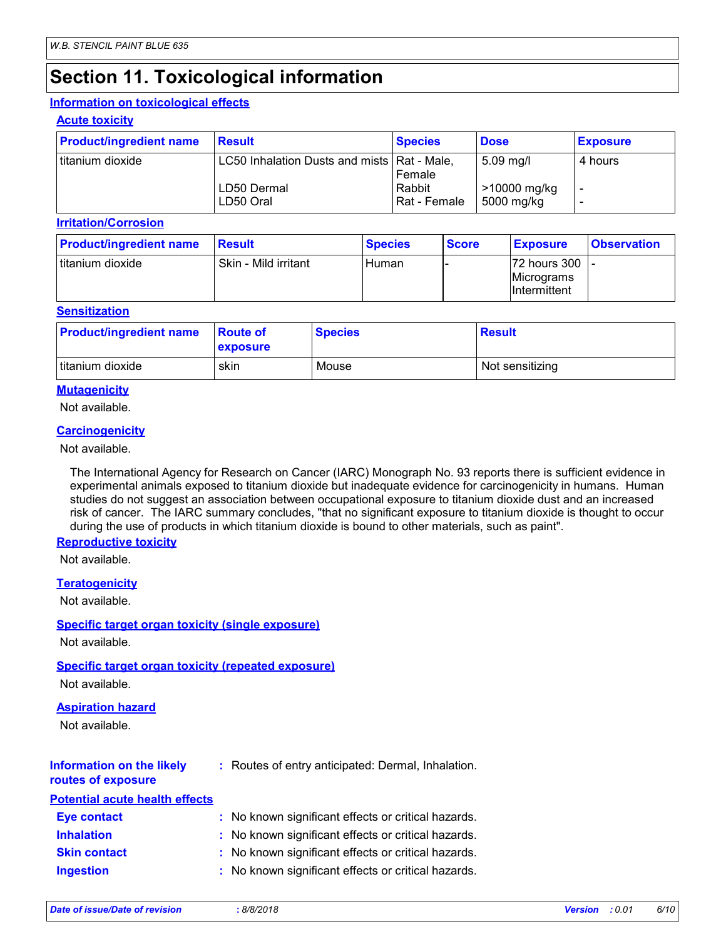### **Section 11. Toxicological information**

#### **Information on toxicological effects**

#### **Acute toxicity**

| <b>Product/ingredient name</b> | Result                                        | <b>Species</b>         | <b>Dose</b>                | <b>Exposure</b> |
|--------------------------------|-----------------------------------------------|------------------------|----------------------------|-----------------|
| I titanium dioxide             | LC50 Inhalation Dusts and mists   Rat - Male, | Female                 | 5.09 mg/l                  | 4 hours         |
|                                | LD50 Dermal<br>LD50 Oral                      | Rabbit<br>Rat - Female | >10000 mg/kg<br>5000 mg/kg |                 |

#### **Irritation/Corrosion**

| <b>Product/ingredient name</b> | <b>Result</b>        | <b>Species</b> | <b>Score</b> | <b>Exposure</b>                                      | <b>Observation</b> |
|--------------------------------|----------------------|----------------|--------------|------------------------------------------------------|--------------------|
| I titanium dioxide             | Skin - Mild irritant | Human          |              | 72 hours 300  -<br>Micrograms<br><b>Intermittent</b> |                    |

#### **Sensitization**

| <b>Product/ingredient name</b> | <b>Route of</b><br><b>exposure</b> | <b>Species</b> | <b>Result</b>   |
|--------------------------------|------------------------------------|----------------|-----------------|
| titanium dioxide               | skin                               | Mouse          | Not sensitizing |

#### **Mutagenicity**

Not available.

#### **Carcinogenicity**

Not available.

The International Agency for Research on Cancer (IARC) Monograph No. 93 reports there is sufficient evidence in experimental animals exposed to titanium dioxide but inadequate evidence for carcinogenicity in humans. Human studies do not suggest an association between occupational exposure to titanium dioxide dust and an increased risk of cancer. The IARC summary concludes, "that no significant exposure to titanium dioxide is thought to occur during the use of products in which titanium dioxide is bound to other materials, such as paint".

#### **Reproductive toxicity**

Not available.

#### **Teratogenicity**

Not available.

#### **Specific target organ toxicity (single exposure)**

Not available.

#### **Specific target organ toxicity (repeated exposure)**

Not available.

#### **Aspiration hazard**

Not available.

#### **Information on the likely routes of exposure**

**:** Routes of entry anticipated: Dermal, Inhalation.

| <b>Potential acute health effects</b> |                                                     |
|---------------------------------------|-----------------------------------------------------|
| <b>Eye contact</b>                    | : No known significant effects or critical hazards. |
| <b>Inhalation</b>                     | : No known significant effects or critical hazards. |
| <b>Skin contact</b>                   | : No known significant effects or critical hazards. |
| <b>Ingestion</b>                      | : No known significant effects or critical hazards. |

| Date of issue/Date of revision | 8/8/2018 | <b>Version</b> : 0.01 | 6/10 |
|--------------------------------|----------|-----------------------|------|
|                                |          |                       |      |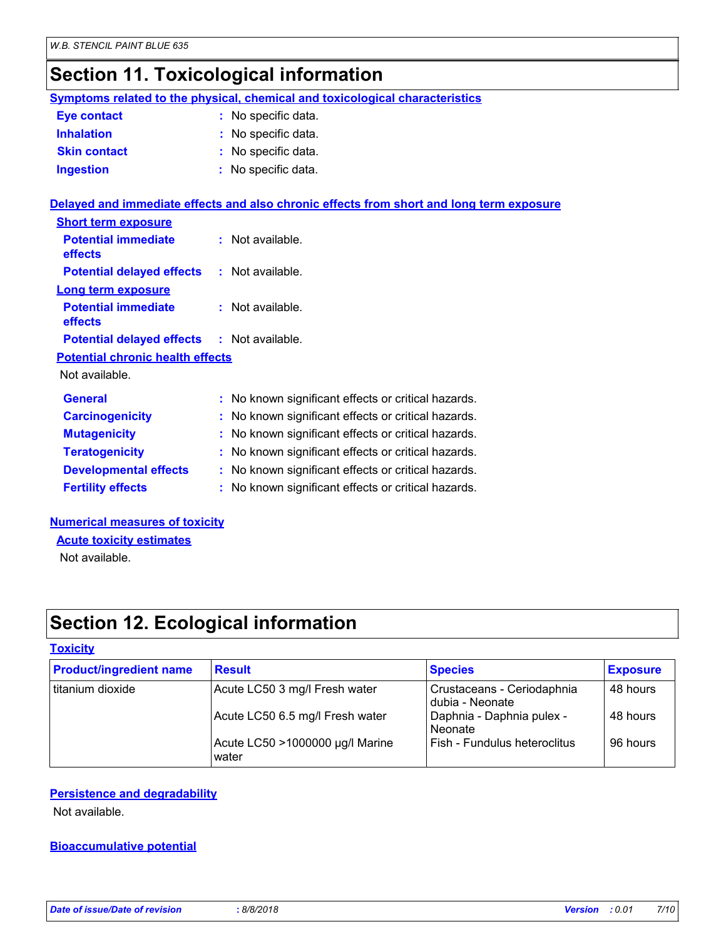### **Section 11. Toxicological information**

|                                              | <b>Symptoms related to the physical, chemical and toxicological characteristics</b>      |
|----------------------------------------------|------------------------------------------------------------------------------------------|
| <b>Eye contact</b>                           | : No specific data.                                                                      |
| <b>Inhalation</b>                            | : No specific data.                                                                      |
| <b>Skin contact</b>                          | : No specific data.                                                                      |
| <b>Ingestion</b>                             | : No specific data.                                                                      |
|                                              | Delayed and immediate effects and also chronic effects from short and long term exposure |
| <b>Short term exposure</b>                   |                                                                                          |
| <b>Potential immediate</b><br><b>effects</b> | $:$ Not available.                                                                       |
| <b>Potential delayed effects</b>             | $:$ Not available.                                                                       |
| Long term exposure                           |                                                                                          |
| <b>Potential immediate</b><br>effects        | $:$ Not available.                                                                       |
| <b>Potential delayed effects</b>             | $:$ Not available.                                                                       |
| <b>Potential chronic health effects</b>      |                                                                                          |
| Not available.                               |                                                                                          |
| <b>General</b>                               | : No known significant effects or critical hazards.                                      |
| <b>Carcinogenicity</b>                       | : No known significant effects or critical hazards.                                      |
| <b>Mutagenicity</b>                          | No known significant effects or critical hazards.                                        |
| <b>Teratogenicity</b>                        | : No known significant effects or critical hazards.                                      |
| <b>Developmental effects</b>                 | : No known significant effects or critical hazards.                                      |
| <b>Fertility effects</b>                     | : No known significant effects or critical hazards.                                      |
|                                              |                                                                                          |

#### **Numerical measures of toxicity Acute toxicity estimates**

Not available.

### **Section 12. Ecological information**

#### **Toxicity**

| <b>Product/ingredient name</b> | <b>Result</b>                            | <b>Species</b>                                | <b>Exposure</b> |
|--------------------------------|------------------------------------------|-----------------------------------------------|-----------------|
| titanium dioxide               | Acute LC50 3 mg/l Fresh water            | Crustaceans - Ceriodaphnia<br>dubia - Neonate | 48 hours        |
|                                | Acute LC50 6.5 mg/l Fresh water          | Daphnia - Daphnia pulex -<br>Neonate          | 48 hours        |
|                                | Acute LC50 >1000000 µg/l Marine<br>water | Fish - Fundulus heteroclitus                  | 96 hours        |

#### **Persistence and degradability**

Not available.

#### **Bioaccumulative potential**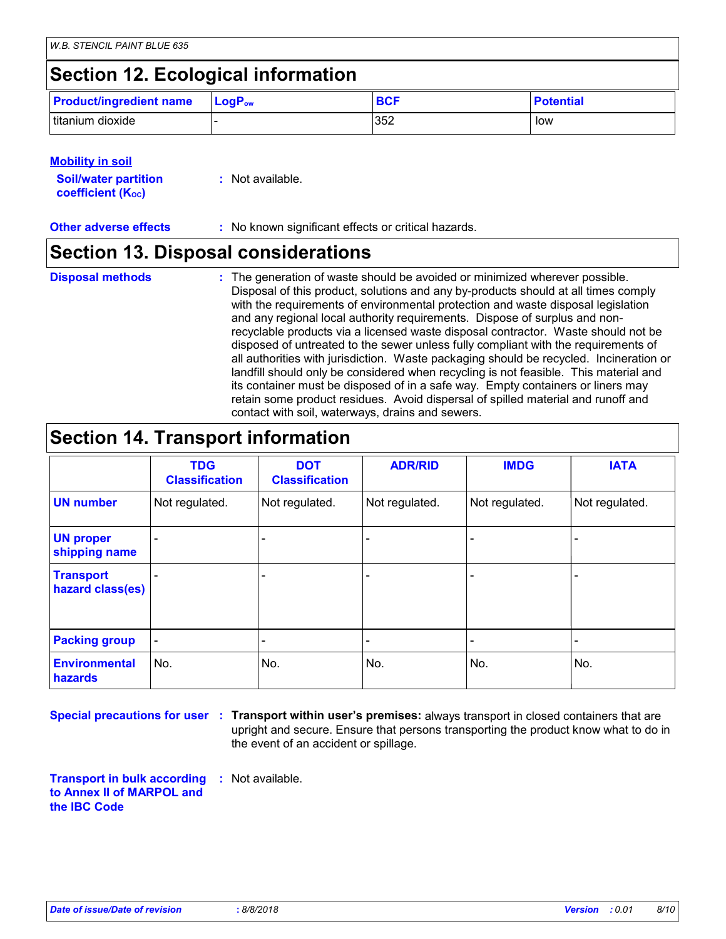### **Section 12. Ecological information**

| <b>Product/ingredient name</b> | $\mathsf{LogP}_\mathsf{ow}$ | <b>BCF</b> | <b>Potential</b> |
|--------------------------------|-----------------------------|------------|------------------|
| titanium dioxide               |                             | 352        | low              |

#### **Mobility in soil**

| <b>Soil/water partition</b> | : Not available. |
|-----------------------------|------------------|
| <b>coefficient (Koc)</b>    |                  |

**Other adverse effects** : No known significant effects or critical hazards.

### **Section 13. Disposal considerations**

- **Disposal methods :**
- The generation of waste should be avoided or minimized wherever possible. Disposal of this product, solutions and any by-products should at all times comply with the requirements of environmental protection and waste disposal legislation and any regional local authority requirements. Dispose of surplus and nonrecyclable products via a licensed waste disposal contractor. Waste should not be disposed of untreated to the sewer unless fully compliant with the requirements of all authorities with jurisdiction. Waste packaging should be recycled. Incineration or landfill should only be considered when recycling is not feasible. This material and its container must be disposed of in a safe way. Empty containers or liners may retain some product residues. Avoid dispersal of spilled material and runoff and contact with soil, waterways, drains and sewers.

### **Section 14. Transport information**

|                                      | <b>TDG</b><br><b>Classification</b> | <b>DOT</b><br><b>Classification</b> | <b>ADR/RID</b> | <b>IMDG</b>    | <b>IATA</b>    |
|--------------------------------------|-------------------------------------|-------------------------------------|----------------|----------------|----------------|
| <b>UN number</b>                     | Not regulated.                      | Not regulated.                      | Not regulated. | Not regulated. | Not regulated. |
| <b>UN proper</b><br>shipping name    |                                     |                                     |                |                |                |
| <b>Transport</b><br>hazard class(es) |                                     | $\overline{\phantom{a}}$            |                |                |                |
| <b>Packing group</b>                 | $\overline{\phantom{a}}$            | $\overline{\phantom{a}}$            |                |                |                |
| <b>Environmental</b><br>hazards      | No.                                 | No.                                 | No.            | No.            | No.            |

**Special precautions for user** : Transport within user's premises: always transport in closed containers that are upright and secure. Ensure that persons transporting the product know what to do in the event of an accident or spillage.

**Transport in bulk according to Annex II of MARPOL and the IBC Code :** Not available.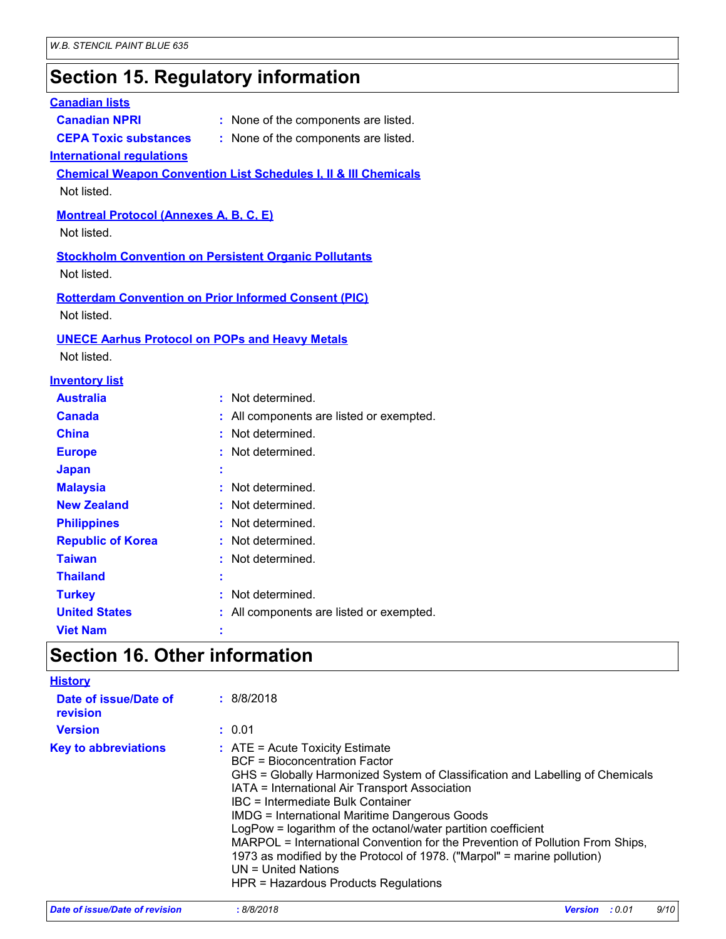### **Section 15. Regulatory information**

#### **Canadian lists**

- 
- 
- **Canadian NPRI :** None of the components are listed.
- 
- **CEPA Toxic substances :** None of the components are listed.

#### **International regulations**

**Chemical Weapon Convention List Schedules I, II & III Chemicals** Not listed.

#### **Montreal Protocol (Annexes A, B, C, E)**

Not listed.

#### **Stockholm Convention on Persistent Organic Pollutants**

Not listed.

#### **Rotterdam Convention on Prior Informed Consent (PIC)** Not listed.

#### **UNECE Aarhus Protocol on POPs and Heavy Metals**

Not listed.

#### **Inventory list**

| : Not determined.                        |
|------------------------------------------|
| : All components are listed or exempted. |
| : Not determined.                        |
| : Not determined.                        |
|                                          |
| : Not determined.                        |
| : Not determined.                        |
| : Not determined.                        |
| : Not determined.                        |
| : Not determined.                        |
|                                          |
| Not determined.                          |
| : All components are listed or exempted. |
|                                          |
| ٠<br>٠<br>٠<br>٠                         |

### **Section 16. Other information**

| <b>History</b>                    |                                                                                                                                                                                                                                                                                                                                                                                                                                                                                                                                                                                                         |
|-----------------------------------|---------------------------------------------------------------------------------------------------------------------------------------------------------------------------------------------------------------------------------------------------------------------------------------------------------------------------------------------------------------------------------------------------------------------------------------------------------------------------------------------------------------------------------------------------------------------------------------------------------|
| Date of issue/Date of<br>revision | : 8/8/2018                                                                                                                                                                                                                                                                                                                                                                                                                                                                                                                                                                                              |
| <b>Version</b>                    | : 0.01                                                                                                                                                                                                                                                                                                                                                                                                                                                                                                                                                                                                  |
| <b>Key to abbreviations</b>       | $:$ ATE = Acute Toxicity Estimate<br><b>BCF</b> = Bioconcentration Factor<br>GHS = Globally Harmonized System of Classification and Labelling of Chemicals<br>IATA = International Air Transport Association<br>IBC = Intermediate Bulk Container<br><b>IMDG = International Maritime Dangerous Goods</b><br>LogPow = logarithm of the octanol/water partition coefficient<br>MARPOL = International Convention for the Prevention of Pollution From Ships,<br>1973 as modified by the Protocol of 1978. ("Marpol" = marine pollution)<br>$UN = United Nations$<br>HPR = Hazardous Products Regulations |